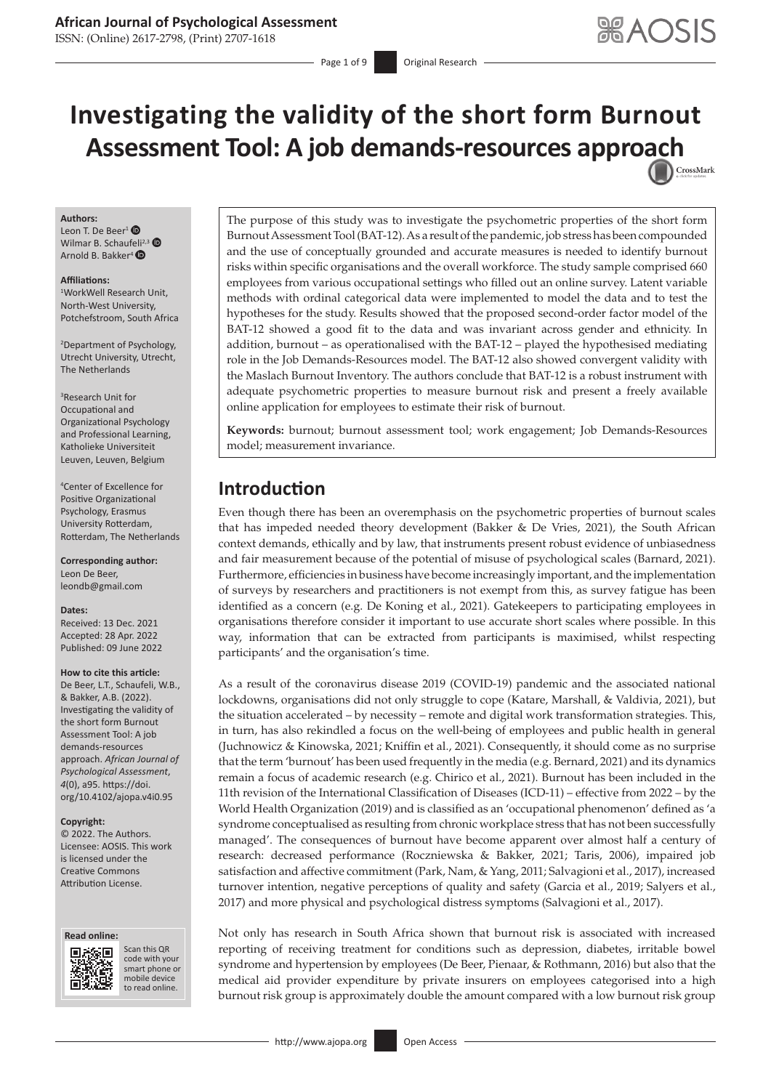### **African Journal of Psychological Assessment**

ISSN: (Online) 2617-2798, (Print) 2707-1618

Page 1 of 9 **Original Research** 

# **Investigating the validity of the short form Burnout Assessment Tool: A job demands-resources appr[oach](http://crossmark.crossref.org/dialog/?doi=10.4102/ajopa.v4i0.95=pdf&date_stamp=2022-06-09)** CrossMark

#### **Authors:**

Leon T. De Beer<sup>[1](https://orcid.org/0000-0001-6900-2192)</sup> $\bullet$ Wilmar B. Schauf[eli](https://orcid.org/0000-0003-1489-1847)<sup>2,[3](https://orcid.org/0000-0002-6070-7150)</sup> Arnold B. Bakker<sup>4</sup>

#### **Affiliations:**

1 WorkWell Research Unit, North-West University, Potchefstroom, South Africa

2 Department of Psychology, Utrecht University, Utrecht, The Netherlands

3 Research Unit for Occupational and Organizational Psychology and Professional Learning, Katholieke Universiteit Leuven, Leuven, Belgium

4 Center of Excellence for Positive Organizational Psychology, Erasmus University Rotterdam, Rotterdam, The Netherlands

**Corresponding author:** Leon De Beer, [leondb@gmail.com](mailto:leondb@gmail.com)

#### **Dates:**

Received: 13 Dec. 2021 Accepted: 28 Apr. 2022 Published: 09 June 2022

#### **How to cite this article:**

De Beer, L.T., Schaufeli, W.B., & Bakker, A.B. (2022). Investigating the validity of the short form Burnout Assessment Tool: A job demands-resources approach. *African Journal of Psychological Assessment*, *4*(0), a95. [https://doi.](https://doi.org/10.4102/ajopa.v4i0.95) [org/10.4102/ajopa.v4i0.95](https://doi.org/10.4102/ajopa.v4i0.95)

#### **Copyright:**

© 2022. The Authors. Licensee: AOSIS. This work is licensed under the Creative Commons Attribution License.





Scan this QR code with your Scan this QR<br>code with your<br>smart phone or<br>mobile device mobile device to read online. to read online.

The purpose of this study was to investigate the psychometric properties of the short form Burnout Assessment Tool (BAT-12). As a result of the pandemic, job stress has been compounded and the use of conceptually grounded and accurate measures is needed to identify burnout risks within specific organisations and the overall workforce. The study sample comprised 660 employees from various occupational settings who filled out an online survey. Latent variable methods with ordinal categorical data were implemented to model the data and to test the hypotheses for the study. Results showed that the proposed second-order factor model of the BAT-12 showed a good fit to the data and was invariant across gender and ethnicity. In addition, burnout – as operationalised with the BAT-12 – played the hypothesised mediating role in the Job Demands-Resources model. The BAT-12 also showed convergent validity with the Maslach Burnout Inventory. The authors conclude that BAT-12 is a robust instrument with adequate psychometric properties to measure burnout risk and present a freely available online application for employees to estimate their risk of burnout.

**Keywords:** burnout; burnout assessment tool; work engagement; Job Demands-Resources model; measurement invariance.

# **Introduction**

Even though there has been an overemphasis on the psychometric properties of burnout scales that has impeded needed theory development (Bakker & De Vries, 2021), the South African context demands, ethically and by law, that instruments present robust evidence of unbiasedness and fair measurement because of the potential of misuse of psychological scales (Barnard, 2021). Furthermore, efficiencies in business have become increasingly important, and the implementation of surveys by researchers and practitioners is not exempt from this, as survey fatigue has been identified as a concern (e.g. De Koning et al., 2021). Gatekeepers to participating employees in organisations therefore consider it important to use accurate short scales where possible. In this way, information that can be extracted from participants is maximised, whilst respecting participants' and the organisation's time.

As a result of the coronavirus disease 2019 (COVID-19) pandemic and the associated national lockdowns, organisations did not only struggle to cope (Katare, Marshall, & Valdivia, 2021), but the situation accelerated – by necessity – remote and digital work transformation strategies. This, in turn, has also rekindled a focus on the well-being of employees and public health in general (Juchnowicz & Kinowska, 2021; Kniffin et al., 2021). Consequently, it should come as no surprise that the term 'burnout' has been used frequently in the media (e.g. Bernard, 2021) and its dynamics remain a focus of academic research (e.g. Chirico et al., 2021). Burnout has been included in the 11th revision of the International Classification of Diseases (ICD-11) – effective from 2022 – by the World Health Organization (2019) and is classified as an 'occupational phenomenon' defined as 'a syndrome conceptualised as resulting from chronic workplace stress that has not been successfully managed'. The consequences of burnout have become apparent over almost half a century of research: decreased performance (Roczniewska & Bakker, 2021; Taris, 2006), impaired job satisfaction and affective commitment (Park, Nam, & Yang, 2011; Salvagioni et al., 2017), increased turnover intention, negative perceptions of quality and safety (Garcia et al., 2019; Salyers et al., 2017) and more physical and psychological distress symptoms (Salvagioni et al., 2017).

Not only has research in South Africa shown that burnout risk is associated with increased reporting of receiving treatment for conditions such as depression, diabetes, irritable bowel syndrome and hypertension by employees (De Beer, Pienaar, & Rothmann, 2016) but also that the medical aid provider expenditure by private insurers on employees categorised into a high burnout risk group is approximately double the amount compared with a low burnout risk group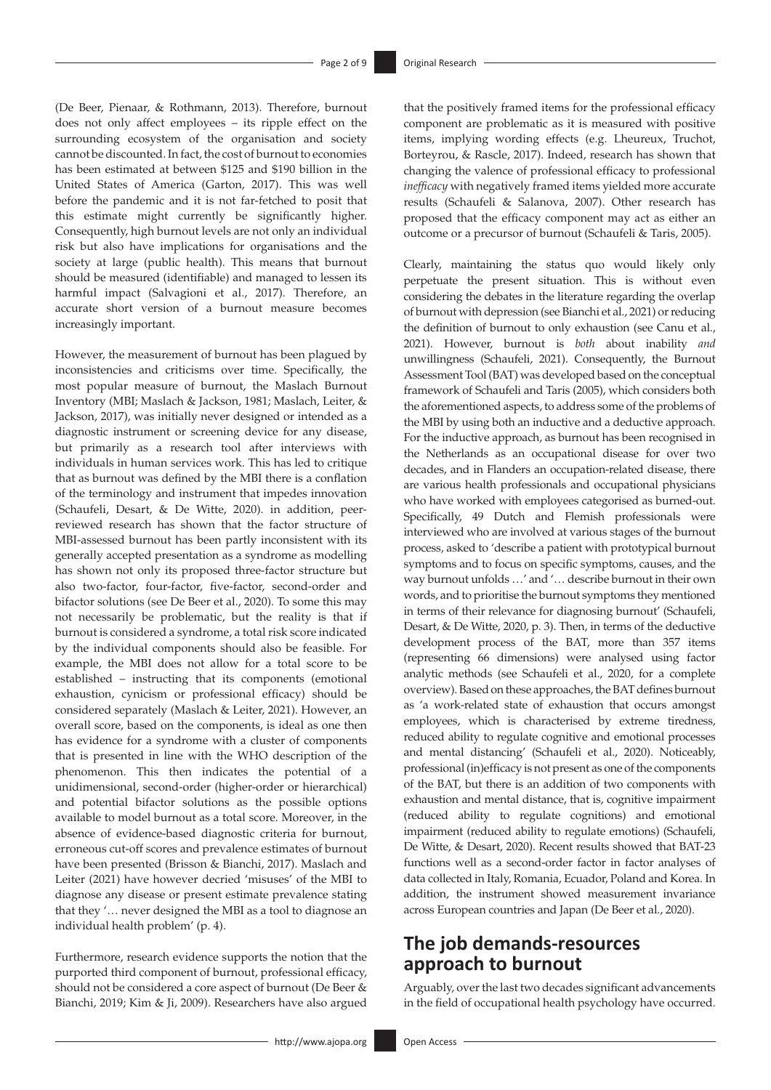(De Beer, Pienaar, & Rothmann, 2013). Therefore, burnout does not only affect employees – its ripple effect on the surrounding ecosystem of the organisation and society cannot be discounted. In fact, the cost of burnout to economies has been estimated at between \$125 and \$190 billion in the United States of America (Garton, 2017). This was well before the pandemic and it is not far-fetched to posit that this estimate might currently be significantly higher. Consequently, high burnout levels are not only an individual risk but also have implications for organisations and the society at large (public health). This means that burnout should be measured (identifiable) and managed to lessen its harmful impact (Salvagioni et al., 2017). Therefore, an accurate short version of a burnout measure becomes increasingly important.

However, the measurement of burnout has been plagued by inconsistencies and criticisms over time. Specifically, the most popular measure of burnout, the Maslach Burnout Inventory (MBI; Maslach & Jackson, 1981; Maslach, Leiter, & Jackson, 2017), was initially never designed or intended as a diagnostic instrument or screening device for any disease, but primarily as a research tool after interviews with individuals in human services work. This has led to critique that as burnout was defined by the MBI there is a conflation of the terminology and instrument that impedes innovation (Schaufeli, Desart, & De Witte, 2020). in addition, peerreviewed research has shown that the factor structure of MBI-assessed burnout has been partly inconsistent with its generally accepted presentation as a syndrome as modelling has shown not only its proposed three-factor structure but also two-factor, four-factor, five-factor, second-order and bifactor solutions (see De Beer et al., 2020). To some this may not necessarily be problematic, but the reality is that if burnout is considered a syndrome, a total risk score indicated by the individual components should also be feasible. For example, the MBI does not allow for a total score to be established – instructing that its components (emotional exhaustion, cynicism or professional efficacy) should be considered separately (Maslach & Leiter, 2021). However, an overall score, based on the components, is ideal as one then has evidence for a syndrome with a cluster of components that is presented in line with the WHO description of the phenomenon. This then indicates the potential of a unidimensional, second-order (higher-order or hierarchical) and potential bifactor solutions as the possible options available to model burnout as a total score. Moreover, in the absence of evidence-based diagnostic criteria for burnout, erroneous cut-off scores and prevalence estimates of burnout have been presented (Brisson & Bianchi, 2017). Maslach and Leiter (2021) have however decried 'misuses' of the MBI to diagnose any disease or present estimate prevalence stating that they '… never designed the MBI as a tool to diagnose an individual health problem' (p. 4).

Furthermore, research evidence supports the notion that the purported third component of burnout, professional efficacy, should not be considered a core aspect of burnout (De Beer & Bianchi, 2019; Kim & Ji, 2009). Researchers have also argued that the positively framed items for the professional efficacy component are problematic as it is measured with positive items, implying wording effects (e.g. Lheureux, Truchot, Borteyrou, & Rascle, 2017). Indeed, research has shown that changing the valence of professional efficacy to professional *inefficacy* with negatively framed items yielded more accurate results (Schaufeli & Salanova, 2007). Other research has proposed that the efficacy component may act as either an outcome or a precursor of burnout (Schaufeli & Taris, 2005).

Clearly, maintaining the status quo would likely only perpetuate the present situation. This is without even considering the debates in the literature regarding the overlap of burnout with depression (see Bianchi et al., 2021) or reducing the definition of burnout to only exhaustion (see Canu et al., 2021). However, burnout is *both* about inability *and* unwillingness (Schaufeli, 2021). Consequently, the Burnout Assessment Tool (BAT) was developed based on the conceptual framework of Schaufeli and Taris (2005), which considers both the aforementioned aspects, to address some of the problems of the MBI by using both an inductive and a deductive approach. For the inductive approach, as burnout has been recognised in the Netherlands as an occupational disease for over two decades, and in Flanders an occupation-related disease, there are various health professionals and occupational physicians who have worked with employees categorised as burned-out. Specifically, 49 Dutch and Flemish professionals were interviewed who are involved at various stages of the burnout process, asked to 'describe a patient with prototypical burnout symptoms and to focus on specific symptoms, causes, and the way burnout unfolds …' and '… describe burnout in their own words, and to prioritise the burnout symptoms they mentioned in terms of their relevance for diagnosing burnout' (Schaufeli, Desart, & De Witte, 2020, p. 3). Then, in terms of the deductive development process of the BAT, more than 357 items (representing 66 dimensions) were analysed using factor analytic methods (see Schaufeli et al., 2020, for a complete overview). Based on these approaches, the BAT defines burnout as 'a work-related state of exhaustion that occurs amongst employees, which is characterised by extreme tiredness, reduced ability to regulate cognitive and emotional processes and mental distancing' (Schaufeli et al., 2020). Noticeably, professional (in)efficacy is not present as one of the components of the BAT, but there is an addition of two components with exhaustion and mental distance, that is, cognitive impairment (reduced ability to regulate cognitions) and emotional impairment (reduced ability to regulate emotions) (Schaufeli, De Witte, & Desart, 2020). Recent results showed that BAT-23 functions well as a second-order factor in factor analyses of data collected in Italy, Romania, Ecuador, Poland and Korea. In addition, the instrument showed measurement invariance across European countries and Japan (De Beer et al., 2020).

# **The job demands-resources approach to burnout**

Arguably, over the last two decades significant advancements in the field of occupational health psychology have occurred.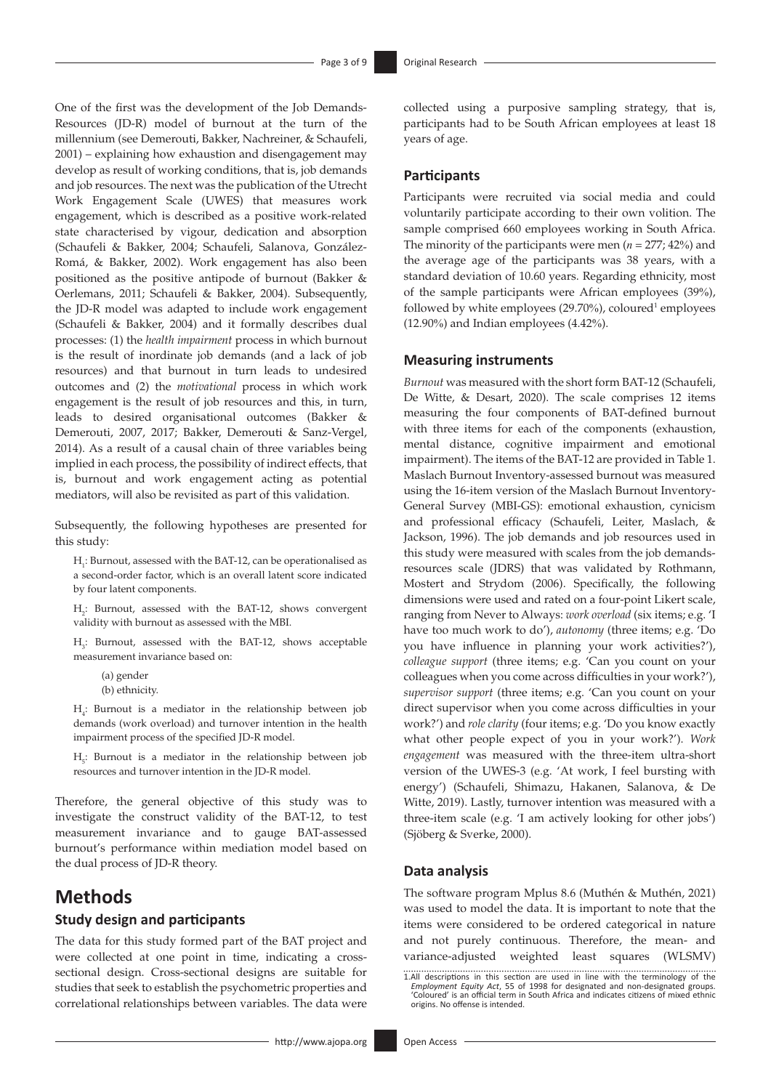One of the first was the development of the Job Demands-Resources (JD-R) model of burnout at the turn of the millennium (see Demerouti, Bakker, Nachreiner, & Schaufeli, 2001) – explaining how exhaustion and disengagement may develop as result of working conditions, that is, job demands and job resources. The next was the publication of the Utrecht Work Engagement Scale (UWES) that measures work engagement, which is described as a positive work-related state characterised by vigour, dedication and absorption (Schaufeli & Bakker, 2004; Schaufeli, Salanova, González-Romá, & Bakker, 2002). Work engagement has also been positioned as the positive antipode of burnout (Bakker & Oerlemans, 2011; Schaufeli & Bakker, 2004). Subsequently, the JD-R model was adapted to include work engagement (Schaufeli & Bakker, 2004) and it formally describes dual processes: (1) the *health impairment* process in which burnout is the result of inordinate job demands (and a lack of job resources) and that burnout in turn leads to undesired outcomes and (2) the *motivational* process in which work engagement is the result of job resources and this, in turn, leads to desired organisational outcomes (Bakker & Demerouti, 2007, 2017; Bakker, Demerouti & Sanz-Vergel, 2014). As a result of a causal chain of three variables being implied in each process, the possibility of indirect effects, that is, burnout and work engagement acting as potential mediators, will also be revisited as part of this validation.

Subsequently, the following hypotheses are presented for this study:

H<sub>1</sub>: Burnout, assessed with the BAT-12, can be operationalised as a second-order factor, which is an overall latent score indicated by four latent components.

H2 : Burnout, assessed with the BAT-12, shows convergent validity with burnout as assessed with the MBI.

 $H_3$ : Burnout, assessed with the BAT-12, shows acceptable measurement invariance based on:

(a) gender (b) ethnicity.

 $H_4$ : Burnout is a mediator in the relationship between job demands (work overload) and turnover intention in the health impairment process of the specified JD-R model.

 $H<sub>5</sub>$ : Burnout is a mediator in the relationship between job resources and turnover intention in the JD-R model.

Therefore, the general objective of this study was to investigate the construct validity of the BAT-12, to test measurement invariance and to gauge BAT-assessed burnout's performance within mediation model based on the dual process of JD-R theory.

# **Methods**

### **Study design and participants**

The data for this study formed part of the BAT project and were collected at one point in time, indicating a crosssectional design. Cross-sectional designs are suitable for studies that seek to establish the psychometric properties and correlational relationships between variables. The data were

collected using a purposive sampling strategy, that is, participants had to be South African employees at least 18 years of age.

#### **Participants**

Participants were recruited via social media and could voluntarily participate according to their own volition. The sample comprised 660 employees working in South Africa. The minority of the participants were men (*n* = 277; 42%) and the average age of the participants was 38 years, with a standard deviation of 10.60 years. Regarding ethnicity, most of the sample participants were African employees (39%), followed by white employees  $(29.70\%)$ , coloured<sup>1</sup> employees (12.90%) and Indian employees (4.42%).

#### **Measuring instruments**

*Burnout* was measured with the short form BAT-12 (Schaufeli, De Witte, & Desart, 2020). The scale comprises 12 items measuring the four components of BAT-defined burnout with three items for each of the components (exhaustion, mental distance, cognitive impairment and emotional impairment). The items of the BAT-12 are provided in Table 1. Maslach Burnout Inventory-assessed burnout was measured using the 16-item version of the Maslach Burnout Inventory-General Survey (MBI-GS): emotional exhaustion, cynicism and professional efficacy (Schaufeli, Leiter, Maslach, & Jackson, 1996). The job demands and job resources used in this study were measured with scales from the job demandsresources scale (JDRS) that was validated by Rothmann, Mostert and Strydom (2006). Specifically, the following dimensions were used and rated on a four-point Likert scale, ranging from Never to Always: *work overload* (six items; e.g. 'I have too much work to do'), *autonomy* (three items; e.g. 'Do you have influence in planning your work activities?'), *colleague support* (three items; e.g. 'Can you count on your colleagues when you come across difficulties in your work?'), *supervisor support* (three items; e.g. 'Can you count on your direct supervisor when you come across difficulties in your work?') and *role clarity* (four items; e.g. 'Do you know exactly what other people expect of you in your work?'). *Work engagement* was measured with the three-item ultra-short version of the UWES-3 (e.g. 'At work, I feel bursting with energy') (Schaufeli, Shimazu, Hakanen, Salanova, & De Witte, 2019). Lastly, turnover intention was measured with a three-item scale (e.g. 'I am actively looking for other jobs') (Sjöberg & Sverke, 2000).

#### **Data analysis**

The software program Mplus 8.6 (Muthén & Muthén, 2021) was used to model the data. It is important to note that the items were considered to be ordered categorical in nature and not purely continuous. Therefore, the mean- and variance-adjusted weighted least squares (WLSMV)

<sup>1.</sup>All descriptions in this section are used in line with the terminology of the<br>Employment Equity Act, 55 of 1998 for designated and non-designated groups.<br>Coloured' is an official term in South Africa and indicates citize origins. No offense is intended.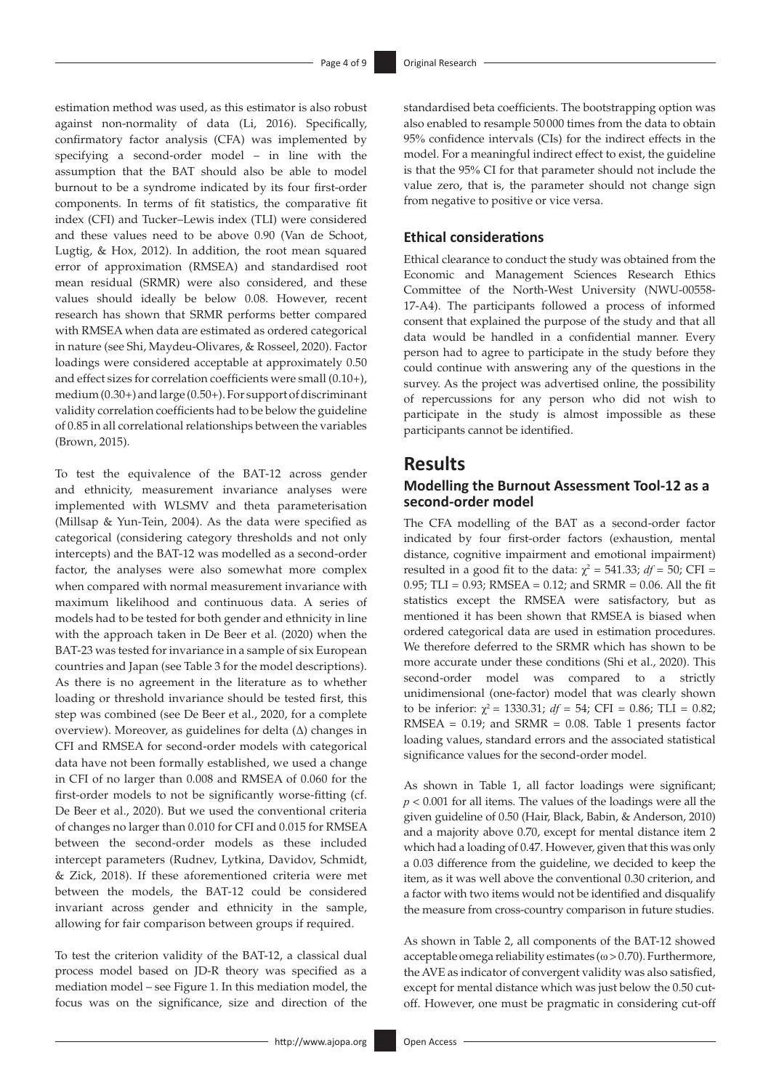estimation method was used, as this estimator is also robust against non-normality of data (Li, 2016). Specifically, confirmatory factor analysis (CFA) was implemented by specifying a second-order model – in line with the assumption that the BAT should also be able to model burnout to be a syndrome indicated by its four first-order components. In terms of fit statistics, the comparative fit index (CFI) and Tucker–Lewis index (TLI) were considered and these values need to be above 0.90 (Van de Schoot, Lugtig, & Hox, 2012). In addition, the root mean squared error of approximation (RMSEA) and standardised root mean residual (SRMR) were also considered, and these values should ideally be below 0.08. However, recent research has shown that SRMR performs better compared with RMSEA when data are estimated as ordered categorical in nature (see Shi, Maydeu-Olivares, & Rosseel, 2020). Factor loadings were considered acceptable at approximately 0.50 and effect sizes for correlation coefficients were small (0.10+), medium (0.30+) and large (0.50+). For support of discriminant validity correlation coefficients had to be below the guideline of 0.85 in all correlational relationships between the variables (Brown, 2015).

To test the equivalence of the BAT-12 across gender and ethnicity, measurement invariance analyses were implemented with WLSMV and theta parameterisation (Millsap & Yun-Tein, 2004). As the data were specified as categorical (considering category thresholds and not only intercepts) and the BAT-12 was modelled as a second-order factor, the analyses were also somewhat more complex when compared with normal measurement invariance with maximum likelihood and continuous data. A series of models had to be tested for both gender and ethnicity in line with the approach taken in De Beer et al. (2020) when the BAT-23 was tested for invariance in a sample of six European countries and Japan (see Table 3 for the model descriptions). As there is no agreement in the literature as to whether loading or threshold invariance should be tested first, this step was combined (see De Beer et al., 2020, for a complete overview). Moreover, as guidelines for delta (Δ) changes in CFI and RMSEA for second-order models with categorical data have not been formally established, we used a change in CFI of no larger than 0.008 and RMSEA of 0.060 for the first-order models to not be significantly worse-fitting (cf. De Beer et al., 2020). But we used the conventional criteria of changes no larger than 0.010 for CFI and 0.015 for RMSEA between the second-order models as these included intercept parameters (Rudnev, Lytkina, Davidov, Schmidt, & Zick, 2018). If these aforementioned criteria were met between the models, the BAT-12 could be considered invariant across gender and ethnicity in the sample, allowing for fair comparison between groups if required.

To test the criterion validity of the BAT-12, a classical dual process model based on JD-R theory was specified as a mediation model – see Figure 1. In this mediation model, the focus was on the significance, size and direction of the standardised beta coefficients. The bootstrapping option was also enabled to resample 50000 times from the data to obtain 95% confidence intervals (CIs) for the indirect effects in the model. For a meaningful indirect effect to exist, the guideline is that the 95% CI for that parameter should not include the value zero, that is, the parameter should not change sign from negative to positive or vice versa.

### **Ethical considerations**

Ethical clearance to conduct the study was obtained from the Economic and Management Sciences Research Ethics Committee of the North-West University (NWU-00558- 17-A4). The participants followed a process of informed consent that explained the purpose of the study and that all data would be handled in a confidential manner. Every person had to agree to participate in the study before they could continue with answering any of the questions in the survey. As the project was advertised online, the possibility of repercussions for any person who did not wish to participate in the study is almost impossible as these participants cannot be identified.

## **Results**

### **Modelling the Burnout Assessment Tool-12 as a second-order model**

The CFA modelling of the BAT as a second-order factor indicated by four first-order factors (exhaustion, mental distance, cognitive impairment and emotional impairment) resulted in a good fit to the data:  $\chi^2 = 541.33$ ;  $df = 50$ ; CFI = 0.95; TLI = 0.93; RMSEA = 0.12; and SRMR = 0.06. All the fit statistics except the RMSEA were satisfactory, but as mentioned it has been shown that RMSEA is biased when ordered categorical data are used in estimation procedures. We therefore deferred to the SRMR which has shown to be more accurate under these conditions (Shi et al., 2020). This second-order model was compared to a strictly unidimensional (one-factor) model that was clearly shown to be inferior:  $\chi^2$  = 1330.31;  $df = 54$ ; CFI = 0.86; TLI = 0.82;  $RMSEA = 0.19$ ; and  $SRMR = 0.08$ . Table 1 presents factor loading values, standard errors and the associated statistical significance values for the second-order model.

As shown in Table 1, all factor loadings were significant; *p* < 0.001 for all items. The values of the loadings were all the given guideline of 0.50 (Hair, Black, Babin, & Anderson, 2010) and a majority above 0.70, except for mental distance item 2 which had a loading of 0.47. However, given that this was only a 0.03 difference from the guideline, we decided to keep the item, as it was well above the conventional 0.30 criterion, and a factor with two items would not be identified and disqualify the measure from cross-country comparison in future studies.

As shown in Table 2, all components of the BAT-12 showed acceptable omega reliability estimates ( $\omega > 0.70$ ). Furthermore, the AVE as indicator of convergent validity was also satisfied, except for mental distance which was just below the 0.50 cutoff. However, one must be pragmatic in considering cut-off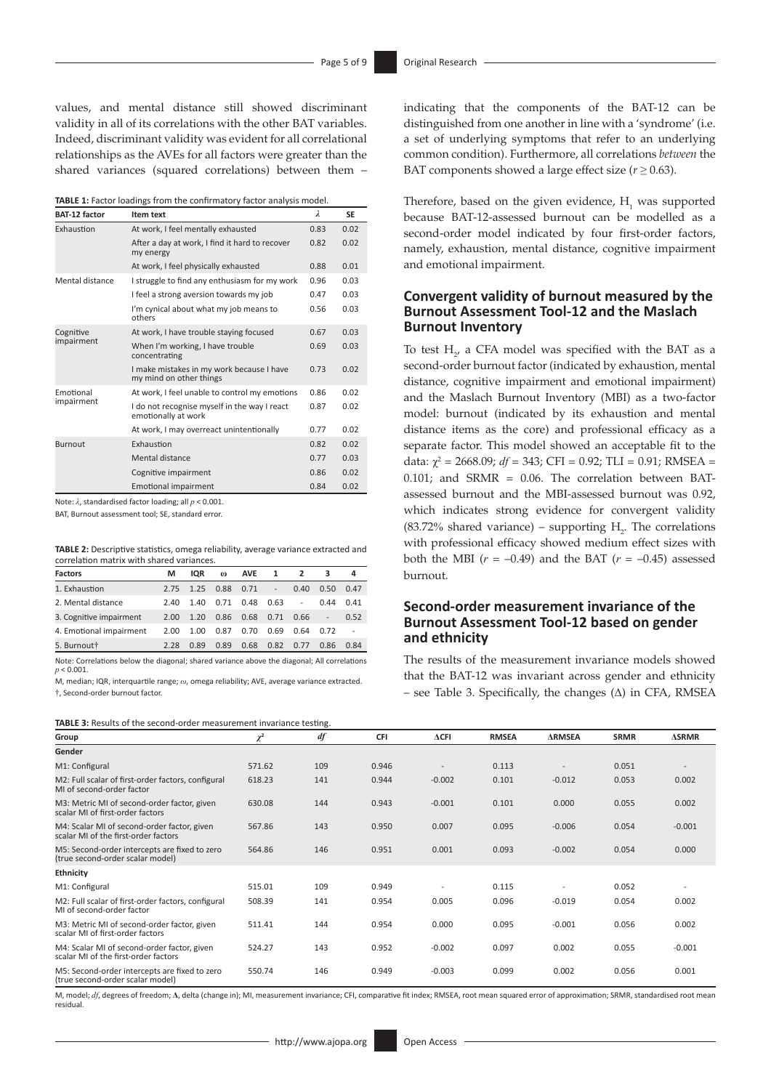values, and mental distance still showed discriminant validity in all of its correlations with the other BAT variables. Indeed, discriminant validity was evident for all correlational relationships as the AVEs for all factors were greater than the shared variances (squared correlations) between them –

**TABLE 1:** Factor loadings from the confirmatory factor analysis model.

| <b>BAT-12 factor</b>    | Item text                                                            | λ    | <b>SE</b> |
|-------------------------|----------------------------------------------------------------------|------|-----------|
| Exhaustion              | At work, I feel mentally exhausted                                   | 0.83 | 0.02      |
|                         | After a day at work, I find it hard to recover<br>my energy          | 0.82 | 0.02      |
|                         | At work, I feel physically exhausted                                 | 0.88 | 0.01      |
| Mental distance         | I struggle to find any enthusiasm for my work                        | 0.96 | 0.03      |
|                         | I feel a strong aversion towards my job                              | 0.47 | 0.03      |
|                         | I'm cynical about what my job means to<br>others                     | 0.56 | 0.03      |
| Cognitive<br>impairment | At work, I have trouble staying focused                              | 0.67 | 0.03      |
|                         | When I'm working, I have trouble<br>concentrating                    | 0.69 | 0.03      |
|                         | I make mistakes in my work because I have<br>my mind on other things | 0.73 | 0.02      |
| Emotional               | At work, I feel unable to control my emotions                        | 0.86 | 0.02      |
| impairment              | I do not recognise myself in the way I react<br>emotionally at work  | 0.87 | 0.02      |
|                         | At work, I may overreact unintentionally                             | 0.77 | 0.02      |
| <b>Burnout</b>          | Exhaustion                                                           | 0.82 | 0.02      |
|                         | Mental distance                                                      | 0.77 | 0.03      |
|                         | Cognitive impairment                                                 | 0.86 | 0.02      |
|                         | <b>Emotional impairment</b>                                          | 0.84 | 0.02      |

Note: *λ*, standardised factor loading; all *p* < 0.001.

BAT, Burnout assessment tool; SE, standard error.

**TABLE 2:** Descriptive statistics, omega reliability, average variance extracted and correlation matrix with shared variances.

| <b>Factors</b>          | м    | IQR  | $\omega$ | <b>AVE</b> | 1             | $\overline{2}$           |      | 4    |
|-------------------------|------|------|----------|------------|---------------|--------------------------|------|------|
| 1. Exhaustion           | 2.75 | 1.25 | 0.88     | 0.71       | $\frac{1}{2}$ | 0.40                     | 0.50 | 0.47 |
| 2. Mental distance      | 2.40 | 1.40 | 0.71     | 0.48       | 0.63          | $\overline{\phantom{a}}$ | 0.44 | 0.41 |
| 3. Cognitive impairment | 2.00 | 1.20 | 0.86     | 0.68       | 0.71          | 0.66                     |      | 0.52 |
| 4. Emotional impairment | 2.00 | 1.00 | 0.87     | 0.70       | 0.69          | 0.64                     | 0.72 |      |
| 5. Burnout†             | 2.28 | 0.89 | 0.89     | 0.68       | 0.82          | 0.77                     | 0.86 | 0.84 |

Note: Correlations below the diagonal; shared variance above the diagonal; All correlations *p* < 0.001.

M, median; IQR, interquartile range; *ω*, omega reliability; AVE, average variance extracted. †, Second-order burnout factor.

**TABLE 3:** Results of the second-order measurement invariance testing.

indicating that the components of the BAT-12 can be distinguished from one another in line with a 'syndrome' (i.e. a set of underlying symptoms that refer to an underlying common condition). Furthermore, all correlations *between* the BAT components showed a large effect size ( $r \geq 0.63$ ).

Therefore, based on the given evidence,  $H<sub>1</sub>$  was supported because BAT-12-assessed burnout can be modelled as a second-order model indicated by four first-order factors, namely, exhaustion, mental distance, cognitive impairment and emotional impairment.

### **Convergent validity of burnout measured by the Burnout Assessment Tool-12 and the Maslach Burnout Inventory**

To test  $H_{2'}$  a CFA model was specified with the BAT as a second-order burnout factor (indicated by exhaustion, mental distance, cognitive impairment and emotional impairment) and the Maslach Burnout Inventory (MBI) as a two-factor model: burnout (indicated by its exhaustion and mental distance items as the core) and professional efficacy as a separate factor. This model showed an acceptable fit to the data:  $\chi^2$  = 2668.09; *df* = 343; CFI = 0.92; TLI = 0.91; RMSEA = 0.101; and  $SRMR = 0.06$ . The correlation between BATassessed burnout and the MBI-assessed burnout was 0.92, which indicates strong evidence for convergent validity  $(83.72\%$  shared variance) – supporting  $H_2$ . The correlations with professional efficacy showed medium effect sizes with both the MBI  $(r = -0.49)$  and the BAT  $(r = -0.45)$  assessed burnout.

### **Second-order measurement invariance of the Burnout Assessment Tool-12 based on gender and ethnicity**

The results of the measurement invariance models showed that the BAT-12 was invariant across gender and ethnicity – see Table 3. Specifically, the changes  $(\Delta)$  in CFA, RMSEA

| Group                                                                               | $\chi^2$ | df  | <b>CFI</b> | $\Delta$ CFI | <b>RMSEA</b> | <b>ARMSEA</b>            | <b>SRMR</b> | <b>ASRMR</b>             |
|-------------------------------------------------------------------------------------|----------|-----|------------|--------------|--------------|--------------------------|-------------|--------------------------|
| Gender                                                                              |          |     |            |              |              |                          |             |                          |
| M1: Configural                                                                      | 571.62   | 109 | 0.946      |              | 0.113        |                          | 0.051       |                          |
| M2: Full scalar of first-order factors, configural<br>ML of second-order factor     | 618.23   | 141 | 0.944      | $-0.002$     | 0.101        | $-0.012$                 | 0.053       | 0.002                    |
| M3: Metric MI of second-order factor, given<br>scalar MI of first-order factors     | 630.08   | 144 | 0.943      | $-0.001$     | 0.101        | 0.000                    | 0.055       | 0.002                    |
| M4: Scalar MI of second-order factor, given<br>scalar MI of the first-order factors | 567.86   | 143 | 0.950      | 0.007        | 0.095        | $-0.006$                 | 0.054       | $-0.001$                 |
| M5: Second-order intercepts are fixed to zero<br>(true second-order scalar model)   | 564.86   | 146 | 0.951      | 0.001        | 0.093        | $-0.002$                 | 0.054       | 0.000                    |
| Ethnicity                                                                           |          |     |            |              |              |                          |             |                          |
| M1: Configural                                                                      | 515.01   | 109 | 0.949      |              | 0.115        | $\overline{\phantom{a}}$ | 0.052       | $\overline{\phantom{a}}$ |
| M2: Full scalar of first-order factors, configural<br>ML of second-order factor     | 508.39   | 141 | 0.954      | 0.005        | 0.096        | $-0.019$                 | 0.054       | 0.002                    |
| M3: Metric MI of second-order factor, given<br>scalar MI of first-order factors     | 511.41   | 144 | 0.954      | 0.000        | 0.095        | $-0.001$                 | 0.056       | 0.002                    |
| M4: Scalar MI of second-order factor, given<br>scalar MI of the first-order factors | 524.27   | 143 | 0.952      | $-0.002$     | 0.097        | 0.002                    | 0.055       | $-0.001$                 |
| M5: Second-order intercepts are fixed to zero<br>(true second-order scalar model)   | 550.74   | 146 | 0.949      | $-0.003$     | 0.099        | 0.002                    | 0.056       | 0.001                    |

M, model; *df*, degrees of freedom; **Δ**, delta (change in); MI, measurement invariance; CFI, comparative fit index; RMSEA, root mean squared error of approximation; SRMR, standardised root mean residual.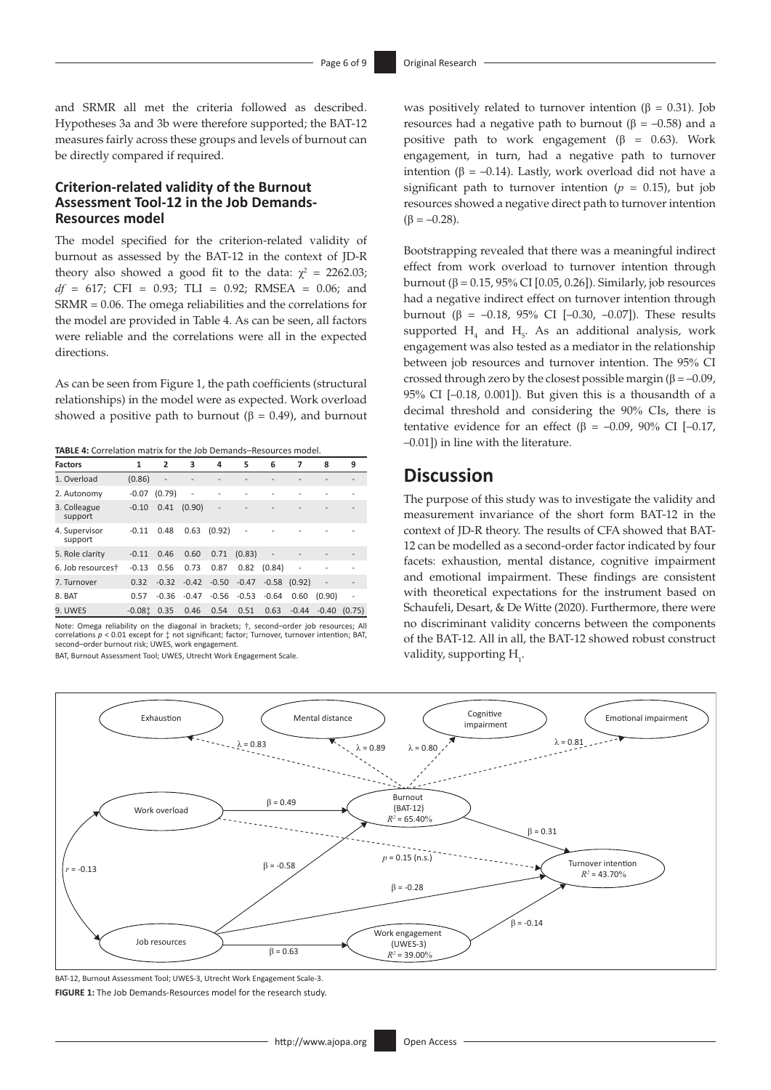and SRMR all met the criteria followed as described. Hypotheses 3a and 3b were therefore supported; the BAT-12 measures fairly across these groups and levels of burnout can be directly compared if required.

#### **Criterion-related validity of the Burnout Assessment Tool-12 in the Job Demands-Resources model**

The model specified for the criterion-related validity of burnout as assessed by the BAT-12 in the context of JD-R theory also showed a good fit to the data:  $\chi^2 = 2262.03$ ; *df* = 617; CFI = 0.93; TLI = 0.92; RMSEA = 0.06; and SRMR = 0.06. The omega reliabilities and the correlations for the model are provided in Table 4. As can be seen, all factors were reliable and the correlations were all in the expected directions.

As can be seen from Figure 1, the path coefficients (structural relationships) in the model were as expected. Work overload showed a positive path to burnout ( $\beta = 0.49$ ), and burnout

**TABLE 4:** Correlation matrix for the Job Demands–Resources model.

| <b>Factors</b>           | 1        | 2              | 3       | 4       | 5              | 6              | 7              | 8                 | 9              |
|--------------------------|----------|----------------|---------|---------|----------------|----------------|----------------|-------------------|----------------|
| 1. Overload              | (0.86)   | $\overline{a}$ | L,      |         |                |                |                |                   |                |
| 2. Autonomy              | $-0.07$  | (0.79)         | -       |         |                |                |                |                   |                |
| 3. Colleague<br>support  | $-0.10$  | 0.41           | (0.90)  | L,      |                |                |                |                   |                |
| 4. Supervisor<br>support | $-0.11$  | 0.48           | 0.63    | (0.92)  | $\overline{a}$ |                |                |                   |                |
| 5. Role clarity          | $-0.11$  | 0.46           | 0.60    | 0.71    | (0.83)         | $\overline{a}$ |                |                   |                |
| 6. Job resourcest        | $-0.13$  | 0.56           | 0.73    | 0.87    | 0.82           | (0.84)         | $\overline{a}$ |                   |                |
| 7. Turnover              | 0.32     | $-0.32$        | $-0.42$ | $-0.50$ | $-0.47$        | $-0.58$        | (0.92)         | $\qquad \qquad -$ |                |
| 8. BAT                   | 0.57     | $-0.36$        | $-0.47$ | $-0.56$ | $-0.53$        | $-0.64$        | 0.60           | (0.90)            | $\overline{a}$ |
| 9. UWES                  | $-0.08t$ | 0.35           | 0.46    | 0.54    | 0.51           | 0.63           | $-0.44$        | $-0.40$           | (0.75)         |

Note: Omega reliability on the diagonal in brackets; †, second–order job resources; All correlations *p* < 0.01 except for ‡ not significant; factor; Turnover, turnover intention; BAT, second–order burnout risk; UWES, work engagement.

BAT, Burnout Assessment Tool; UWES, Utrecht Work Engagement Scale.

was positively related to turnover intention ( $\beta = 0.31$ ). Job resources had a negative path to burnout ( $β = -0.58$ ) and a positive path to work engagement ( $\beta$  = 0.63). Work engagement, in turn, had a negative path to turnover intention (β = -0.14). Lastly, work overload did not have a significant path to turnover intention  $(p = 0.15)$ , but job resources showed a negative direct path to turnover intention  $(\beta = -0.28)$ .

Bootstrapping revealed that there was a meaningful indirect effect from work overload to turnover intention through burnout (β = 0.15, 95% CI [0.05, 0.26]). Similarly, job resources had a negative indirect effect on turnover intention through burnout (β = –0.18, 95% CI [–0.30, –0.07]). These results supported  $H_4$  and  $H_5$ . As an additional analysis, work engagement was also tested as a mediator in the relationship between job resources and turnover intention. The 95% CI crossed through zero by the closest possible margin ( $\beta = -0.09$ , 95% CI [–0.18, 0.001]). But given this is a thousandth of a decimal threshold and considering the 90% CIs, there is tentative evidence for an effect (β = –0.09, 90% CI [–0.17, –0.01]) in line with the literature.

# **Discussion**

The purpose of this study was to investigate the validity and measurement invariance of the short form BAT-12 in the context of JD-R theory. The results of CFA showed that BAT-12 can be modelled as a second-order factor indicated by four facets: exhaustion, mental distance, cognitive impairment and emotional impairment. These findings are consistent with theoretical expectations for the instrument based on Schaufeli, Desart, & De Witte (2020). Furthermore, there were no discriminant validity concerns between the components of the BAT-12. All in all, the BAT-12 showed robust construct validity, supporting  $H_1$ .



BAT-12, Burnout Assessment Tool; UWES-3, Utrecht Work Engagement Scale-3. **FIGURE 1:** The Job Demands-Resources model for the research study.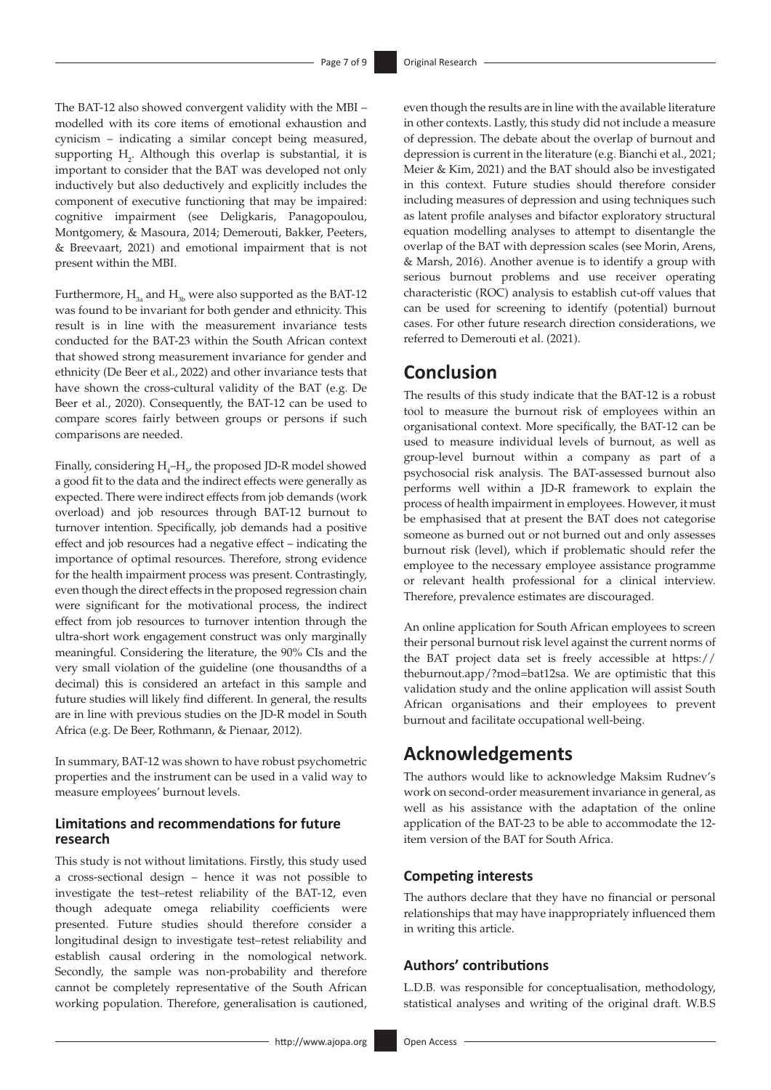The BAT-12 also showed convergent validity with the MBI – modelled with its core items of emotional exhaustion and cynicism – indicating a similar concept being measured, supporting  $H_2$ . Although this overlap is substantial, it is important to consider that the BAT was developed not only inductively but also deductively and explicitly includes the component of executive functioning that may be impaired: cognitive impairment (see Deligkaris, Panagopoulou, Montgomery, & Masoura, 2014; Demerouti, Bakker, Peeters, & Breevaart, 2021) and emotional impairment that is not present within the MBI.

Furthermore,  $H_a$  and  $H_a$  were also supported as the BAT-12 was found to be invariant for both gender and ethnicity. This result is in line with the measurement invariance tests conducted for the BAT-23 within the South African context that showed strong measurement invariance for gender and ethnicity (De Beer et al., 2022) and other invariance tests that have shown the cross-cultural validity of the BAT (e.g. De Beer et al., 2020). Consequently, the BAT-12 can be used to compare scores fairly between groups or persons if such comparisons are needed.

Finally, considering  $H_4$ – $H_5$ , the proposed JD-R model showed a good fit to the data and the indirect effects were generally as expected. There were indirect effects from job demands (work overload) and job resources through BAT-12 burnout to turnover intention. Specifically, job demands had a positive effect and job resources had a negative effect – indicating the importance of optimal resources. Therefore, strong evidence for the health impairment process was present. Contrastingly, even though the direct effects in the proposed regression chain were significant for the motivational process, the indirect effect from job resources to turnover intention through the ultra-short work engagement construct was only marginally meaningful. Considering the literature, the 90% CIs and the very small violation of the guideline (one thousandths of a decimal) this is considered an artefact in this sample and future studies will likely find different. In general, the results are in line with previous studies on the JD-R model in South Africa (e.g. De Beer, Rothmann, & Pienaar, 2012).

In summary, BAT-12 was shown to have robust psychometric properties and the instrument can be used in a valid way to measure employees' burnout levels.

### **Limitations and recommendations for future research**

This study is not without limitations. Firstly, this study used a cross-sectional design – hence it was not possible to investigate the test–retest reliability of the BAT-12, even though adequate omega reliability coefficients were presented. Future studies should therefore consider a longitudinal design to investigate test–retest reliability and establish causal ordering in the nomological network. Secondly, the sample was non-probability and therefore cannot be completely representative of the South African working population. Therefore, generalisation is cautioned,

even though the results are in line with the available literature in other contexts. Lastly, this study did not include a measure of depression. The debate about the overlap of burnout and depression is current in the literature (e.g. Bianchi et al., 2021; Meier & Kim, 2021) and the BAT should also be investigated in this context. Future studies should therefore consider including measures of depression and using techniques such as latent profile analyses and bifactor exploratory structural equation modelling analyses to attempt to disentangle the overlap of the BAT with depression scales (see Morin, Arens, & Marsh, 2016). Another avenue is to identify a group with serious burnout problems and use receiver operating characteristic (ROC) analysis to establish cut-off values that can be used for screening to identify (potential) burnout cases. For other future research direction considerations, we referred to Demerouti et al. (2021).

## **Conclusion**

The results of this study indicate that the BAT-12 is a robust tool to measure the burnout risk of employees within an organisational context. More specifically, the BAT-12 can be used to measure individual levels of burnout, as well as group-level burnout within a company as part of a psychosocial risk analysis. The BAT-assessed burnout also performs well within a JD-R framework to explain the process of health impairment in employees. However, it must be emphasised that at present the BAT does not categorise someone as burned out or not burned out and only assesses burnout risk (level), which if problematic should refer the employee to the necessary employee assistance programme or relevant health professional for a clinical interview. Therefore, prevalence estimates are discouraged.

An online application for South African employees to screen their personal burnout risk level against the current norms of the BAT project data set is freely accessible at [https://](https://theburnout.app/?mod=bat12sa) [theburnout.app/?mod=bat12sa](https://theburnout.app/?mod=bat12sa). We are optimistic that this validation study and the online application will assist South African organisations and their employees to prevent burnout and facilitate occupational well-being.

# **Acknowledgements**

The authors would like to acknowledge Maksim Rudnev's work on second-order measurement invariance in general, as well as his assistance with the adaptation of the online application of the BAT-23 to be able to accommodate the 12 item version of the BAT for South Africa.

### **Competing interests**

The authors declare that they have no financial or personal relationships that may have inappropriately influenced them in writing this article.

#### **Authors' contributions**

L.D.B. was responsible for conceptualisation, methodology, statistical analyses and writing of the original draft. W.B.S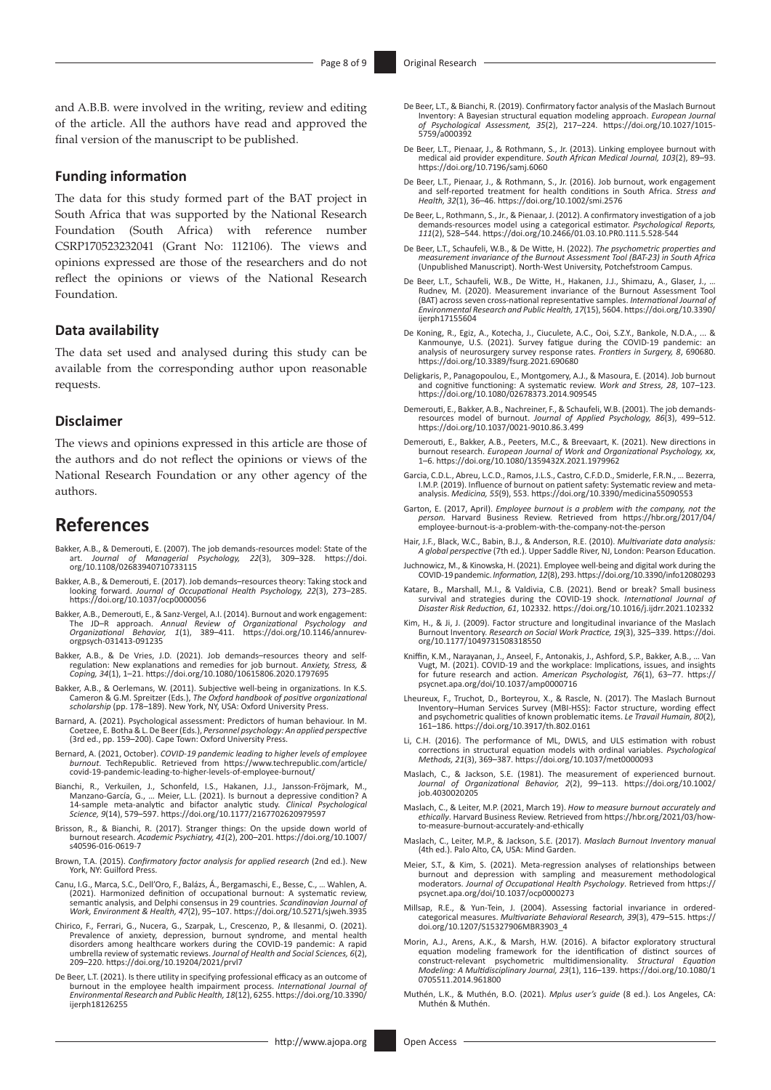and A.B.B. were involved in the writing, review and editing of the article. All the authors have read and approved the final version of the manuscript to be published.

#### **Funding information**

The data for this study formed part of the BAT project in South Africa that was supported by the National Research Foundation (South Africa) with reference number CSRP170523232041 (Grant No: 112106). The views and opinions expressed are those of the researchers and do not reflect the opinions or views of the National Research Foundation.

#### **Data availability**

The data set used and analysed during this study can be available from the corresponding author upon reasonable requests.

#### **Disclaimer**

The views and opinions expressed in this article are those of the authors and do not reflect the opinions or views of the National Research Foundation or any other agency of the authors.

## **References**

- Bakker, A.B., & Demerouti, E. (2007). The job demands‐resources model: [State of the](https://doi.org/10.1108/02683940710733115) art. *Journal of Managerial Psychology, 22*(3), 309–328. https://doi. [org/10.1108/02683940710733115](https://doi.org/10.1108/02683940710733115)
- Bakker, A.B., & Demerouti, E. (2017). Job demands–resources theory: Taking stock and looking forward. *Journal of Occupational Health Psychology, 22*(3), 273–285. <https://doi.org/10.1037/ocp0000056>
- Bakker, A.B., Demerouti, E., & Sanz-Vergel, A.I. (2014). Burnout and work engagement:<br>The JD-R approach. Annual Review of Organizational Psychology and<br>Organizational Behavior, 1(1), 389–411. https://doi.org/10.1146/annure [orgpsych-031413-091235](https://doi.org/10.1146/annurev-orgpsych-031413-091235)
- Bakker, A.B., & De Vries, J.D. (2021). Job demands–resources theory and self-regulation: New explanations and remedies for job burnout. *Anxiety, Stress, & Coping, 34*(1), 1–21. <https://doi.org/10.1080/10615806.2020.1797695>
- Bakker, A.B., & Oerlemans, W. (2011). Subjective well-being in organizations. In K.S.<br>Cameron & G.M. Spreitzer (Eds.), The Oxford handbook of positive organizational<br>scholarship (pp. 178–189). New York, NY, USA: Oxford Uni
- Barnard, A. (2021). Psychological assessment: Predictors of human behaviour. In M. Coetzee, E. Botha & L. De Beer (Eds.), *Personnel psychology: An applied perspective* (3rd ed., pp. 159–200). Cape Town: Oxford University Press.
- Bernard, A. (2021, October). *COVID-19 pandemic leading to higher levels of employee burnout*. TechRepublic. Retrieved from [https://www.techrepublic.com/article/](https://www.techrepublic.com/article/covid-19-pandemic-leading-to-higher-levels-of-employee-burnout/) [covid-19-pandemic-leading-to-higher-levels-of-employee-burnout/](https://www.techrepublic.com/article/covid-19-pandemic-leading-to-higher-levels-of-employee-burnout/)
- Bianchi, R., Verkuilen, J., Schonfeld, I.S., Hakanen, J.J., Jansson-Fröjmark, M.,<br>Manzano-García, G., ... Meier, L.L. (2021). Is burnout a depressive condition? A<br>14-sample meta-analytic and bifactor analytic study. *Clini Science, 9*(14), 579–597.<https://doi.org/10.1177/2167702620979597>
- Brisson, R., & Bianchi, R. (2017). Stranger things: On the upside down world of burnout research. *Academic Psychiatry, 41*(2), 200–201. [https://doi.org/10.1007/](https://doi.org/10.1007/s40596-016-0619-7) [s40596-016-0619-7](https://doi.org/10.1007/s40596-016-0619-7)
- Brown, T.A. (2015). *Confirmatory factor analysis for applied research* (2nd ed.). New York, NY: Guilford Press.
- Canu, I.G., Marca, S.C., Dell'Oro, F., Balázs, Á., Bergamaschi, E., Besse, C., ... Wahlen, A.<br>(2021). Harmonized definition of occupational burnout: A systematic review,<br>semantic analysis, and Delphi consensus in 29 countr *Work, Environment & Health, 47*(2), 95–107. <https://doi.org/10.5271/sjweh.3935>
- Chirico, F., Ferrari, G., Nucera, G., Szarpak, L., Crescenzo, P., & Ilesanmi, O. (2021). Prevalence of anxiety, depression, burnout syndrome, and mental health<br>disorders among healthcare workers during the COVID-19 pandemic: A rapid<br>umbrella review of systematic reviews. Journal of Health and Social Sciences, 209–220. <https://doi.org/10.19204/2021/prvl7>
- De Beer, L.T. (2021). Is there utility in specifying professional efficacy as an outcome of burnout in the employee health impairment process. *International Journal of Environmental Research and Public Health, 18*(12), 6255. [https://doi.org/10.3390/](https://doi.org/10.3390/ijerph18126255) [ijerph18126255](https://doi.org/10.3390/ijerph18126255)
- De Beer, L.T., & Bianchi, R. (2019). Confirmatory factor analysis of the Maslach Burnout Inventory: A Bayesian structural equation modeling approach. *European Journal of Psychological Assessment, 35*(2), 217–224. [https://doi.org/10.1027/1015-](https://doi.org/10.1027/1015-5759/a000392) [5759/a000392](https://doi.org/10.1027/1015-5759/a000392)
- De Beer, L.T., Pienaar, J., & Rothmann, S., Jr. (2013). Linking employee burnout with medical aid provider expenditure. *South African Medical Journal, 103*(2), 89–93. <https://doi.org/10.7196/samj.6060>
- De Beer, L.T., Pienaar, J., & Rothmann, S., Jr. (2016). Job burnout, work engagement and self‐reported treatment for health conditions in South Africa. *Stress and Health, 32*(1), 36–46. <https://doi.org/10.1002/smi.2576>
- De Beer, L., Rothmann, S., Jr., & Pienaar, J. (2012). A confirmatory investigation of a job demands-resources model using a categorical estimator. *Psychological Reports, 111*(2), 528–544.<https://doi.org/10.2466/01.03.10.PR0.111.5.528-544>
- De Beer, L.T., Schaufeli, W.B., & De Witte, H. (2022). *The psychometric properties and measurement invariance of the Burnout Assessment Tool (BAT-23) in South Africa* (Unpublished Manuscript). North-West University, Potchefstroom Campus.
- De Beer, L.T., Schaufeli, W.B., De Witte, H., Hakanen, J.J., Shimazu, A., Glaser, J. Beet, E.H., Schauten, W.B., Be Witte, H., Hakanen, 33., Shimazu, A., Giaser, 3., ...<br>Rudnev, M. (2020). Measurement invariance of the Burnout Assessment Tool (BAT) across seven cross-national representative samples. *International Journal of Environmental Research and Public Health, 17*(15), 5604. [https://doi.org/10.3390/](https://doi.org/10.3390/ijerph17155604) [ijerph17155604](https://doi.org/10.3390/ijerph17155604)
- De Koning, R., Egiz, A., Kotecha, J., Ciuculete, A.C., Ooi, S.Z.Y., Bankole, N.D.A., ... & Kanmounye, U.S. (2021). Survey fatigue during the COVID-19 pandemic: an analysis of neurosurgery survey response rates. Frontiers i
- Deligkaris, P., Panagopoulou, E., Montgomery, A.J., & Masoura, E. (2014). Job burnout and cognitive functioning: A systematic review. *Work and Stress, 28*, 107–123. <https://doi.org/10.1080/02678373.2014.909545>
- Demerouti, E., Bakker, A.B., Nachreiner, F., & Schaufeli, W.B. (2001). The job demands-resources model of burnout. *Journal of Applied Psychology, 86*(3), 499–512. <https://doi.org/10.1037/0021-9010.86.3.499>
- Demerouti, E., Bakker, A.B., Peeters, M.C., & Breevaart, K. (2021). New directions in burnout research. *European Journal of Work and Organizational Psychology, xx*, 1–6.<https://doi.org/10.1080/1359432X.2021.1979962>
- , Abreu, L.C.D., Ramos, J.L.S., Castro, C.F.D.D., Smiderle, F.R.N., ... Bezerra, I.M.P. (2019). Influence of burnout on patient safety: Systematic review and metaanalysis. *Medicina, 55*(9), 553.<https://doi.org/10.3390/medicina55090553>
- Garton, E. (2017, April). *Employee burnout is a problem with the company, not the person.* Harvard Business Review. Retrieved from [https://hbr.org/2017/04/](https://hbr.org/2017/04/employee-burnout-is-a-problem-with-the-company-not-the-person) [employee-burnout-is-a-problem-with-the-company-not-the-person](https://hbr.org/2017/04/employee-burnout-is-a-problem-with-the-company-not-the-person)
- Hair, J.F., Black, W.C., Babin, B.J., & Anderson, R.E. (2010). *Multivariate data analysis: A global perspective* (7th ed.). Upper Saddle River, NJ, London: Pearson Education.
- Juchnowicz, M., & Kinowska, H. (2021). Employee well-being and digital work during the COVID-19 pandemic. *Information, 12*(8), 293.<https://doi.org/10.3390/info12080293>
- Katare, B., Marshall, M.I., & Valdivia, C.B. (2021). Bend or break? Small business survival and strategies during the COVID-19 shock. *International Journal of Disaster Risk Reduction, 61*, 102332.<https://doi.org/10.1016/j.ijdrr.2021.102332>
- Kim, H., & Ji, J. (2009). Factor structure and longitudinal invariance of the Maslach Burnout Inventory. *Research on Social Work Practice, 19*(3), 325–339. [https://doi.](https://doi.org/10.1177/1049731508318550) [org/10.1177/1049731508318550](https://doi.org/10.1177/1049731508318550)
- Kniffin, K.M., Narayanan, J., Anseel, F., Antonakis, J., Ashford, S.P., Bakker, A.B., … Van Vugt, M. (2021). COVID-19 and the workplace: Implications, issues, and insights for future research and action. *American Psychologist, 76*(1), 63–77. [https://](https://psycnet.apa.org/doi/10.1037/amp0000716) [psycnet.apa.org/doi/10.1037/amp0000716](https://psycnet.apa.org/doi/10.1037/amp0000716)
- Lheureux, F., Truchot, D., Borteyrou, X., & Rascle, N. (2017). The Maslach Burnout Inventory–Human Services Survey (MBI-HSS): Factor structure, wording effect and psychometric qualities of known problematic items. *Le Travail Humain, 80*(2), 161–186.<https://doi.org/10.3917/th.802.0161>
- Li, C.H. (2016). The performance of ML, DWLS, and ULS estimation with robust corrections in structural equation models with ordinal variables. *Psychological Methods, 21*(3), 369–387. <https://doi.org/10.1037/met0000093>
- Maslach, C., & Jackson, S.E. (1981). The measurement of experienced burnout. *Journal of Organizational Behavior, 2*(2), 99–113. [https://doi.org/10.1002/](https://doi.org/10.1002/job.4030020205) [job.4030020205](https://doi.org/10.1002/job.4030020205)
- Maslach, C., & Leiter, M.P. (2021, March 19). *How to measure burnout accurately and ethically*. Harvard Business Review. Retrieved from [https://hbr.org/2021/03/how](https://hbr.org/2021/03/how-to-measure-burnout-accurately-and-ethically)[to-measure-burnout-accurately-and-ethically](https://hbr.org/2021/03/how-to-measure-burnout-accurately-and-ethically)
- Maslach, C., Leiter, M.P., & Jackson, S.E. (2017). *Maslach Burnout Inventory manual* (4th ed.). Palo Alto, CA, USA: Mind Garden.
- Meier, S.T., & Kim, S. (2021). Meta-regression analyses of relationships between burnout and depression with sampling and measurement methodological moderators. *Journal of Occupational Health Psychology*. Retrieved from [https://](https://psycnet.apa.org/doi/10.1037/ocp0000273) [psycnet.apa.org/doi/10.1037/ocp0000273](https://psycnet.apa.org/doi/10.1037/ocp0000273)
- Millsap, R.E., & Yun-Tein, J. (2004). Assessing factorial invariance in ordered-categorical measures. *Multivariate Behavioral Research, 39*(3), 479–515. [https://](https://doi.org/10.1207/S15327906MBR3903_4) [doi.org/10.1207/S15327906MBR3903\\_4](https://doi.org/10.1207/S15327906MBR3903_4)
- Morin, A.J., Arens, A.K., & Marsh, H.W. (2016). A bifactor exploratory structural equation modeling framework for the identification of distinct sources of construct-relevant psychometric multidimensionality. *Structural Equation Modeling: A Multidisciplinary Journal, 23*(1), 116–139. [https://doi.org/10.1080/1](https://doi.org/10.1080/10705511.2014.961800) [0705511.2014.961800](https://doi.org/10.1080/10705511.2014.961800)
- Muthén, L.K., & Muthén, B.O. (2021). *Mplus user's guide* (8 ed.). Los Angeles, CA: Muthén & Muthén.